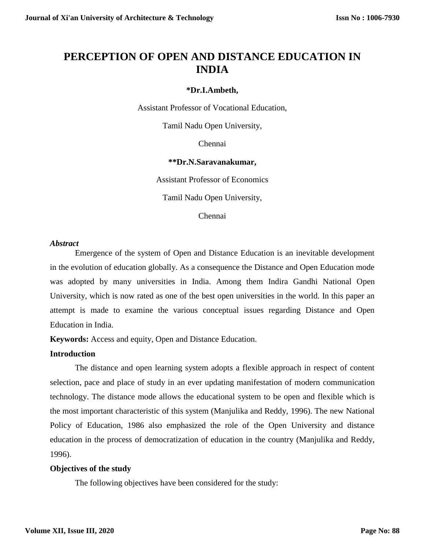# **PERCEPTION OF OPEN AND DISTANCE EDUCATION IN INDIA**

# **\*Dr.I.Ambeth,**

Assistant Professor of Vocational Education,

Tamil Nadu Open University,

Chennai

# **\*\*Dr.N.Saravanakumar,**

Assistant Professor of Economics

Tamil Nadu Open University,

Chennai

## *Abstract*

Emergence of the system of Open and Distance Education is an inevitable development in the evolution of education globally. As a consequence the Distance and Open Education mode was adopted by many universities in India. Among them Indira Gandhi National Open University, which is now rated as one of the best open universities in the world. In this paper an attempt is made to examine the various conceptual issues regarding Distance and Open Education in India.

**Keywords:** Access and equity, Open and Distance Education.

## **Introduction**

The distance and open learning system adopts a flexible approach in respect of content selection, pace and place of study in an ever updating manifestation of modern communication technology. The distance mode allows the educational system to be open and flexible which is the most important characteristic of this system (Manjulika and Reddy, 1996). The new National Policy of Education, 1986 also emphasized the role of the Open University and distance education in the process of democratization of education in the country (Manjulika and Reddy, 1996).

## **Objectives of the study**

The following objectives have been considered for the study: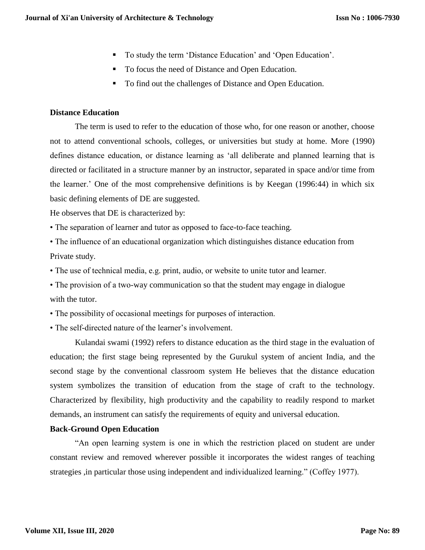- To study the term 'Distance Education' and 'Open Education'.
- To focus the need of Distance and Open Education.
- To find out the challenges of Distance and Open Education.

## **Distance Education**

The term is used to refer to the education of those who, for one reason or another, choose not to attend conventional schools, colleges, or universities but study at home. More (1990) defines distance education, or distance learning as 'all deliberate and planned learning that is directed or facilitated in a structure manner by an instructor, separated in space and/or time from the learner.' One of the most comprehensive definitions is by Keegan (1996:44) in which six basic defining elements of DE are suggested.

He observes that DE is characterized by:

• The separation of learner and tutor as opposed to face-to-face teaching.

• The influence of an educational organization which distinguishes distance education from Private study.

• The use of technical media, e.g. print, audio, or website to unite tutor and learner.

• The provision of a two-way communication so that the student may engage in dialogue with the tutor.

• The possibility of occasional meetings for purposes of interaction.

• The self-directed nature of the learner's involvement.

Kulandai swami (1992) refers to distance education as the third stage in the evaluation of education; the first stage being represented by the Gurukul system of ancient India, and the second stage by the conventional classroom system He believes that the distance education system symbolizes the transition of education from the stage of craft to the technology. Characterized by flexibility, high productivity and the capability to readily respond to market demands, an instrument can satisfy the requirements of equity and universal education.

## **Back-Ground Open Education**

"An open learning system is one in which the restriction placed on student are under constant review and removed wherever possible it incorporates the widest ranges of teaching strategies ,in particular those using independent and individualized learning." (Coffey 1977).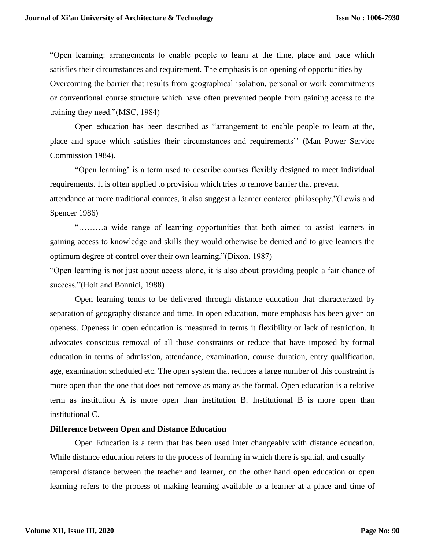"Open learning: arrangements to enable people to learn at the time, place and pace which satisfies their circumstances and requirement. The emphasis is on opening of opportunities by Overcoming the barrier that results from geographical isolation, personal or work commitments or conventional course structure which have often prevented people from gaining access to the training they need."(MSC, 1984)

Open education has been described as "arrangement to enable people to learn at the, place and space which satisfies their circumstances and requirements'' (Man Power Service Commission 1984).

"Open learning' is a term used to describe courses flexibly designed to meet individual requirements. It is often applied to provision which tries to remove barrier that prevent attendance at more traditional cources, it also suggest a learner centered philosophy."(Lewis and Spencer 1986)

"………a wide range of learning opportunities that both aimed to assist learners in gaining access to knowledge and skills they would otherwise be denied and to give learners the optimum degree of control over their own learning."(Dixon, 1987)

"Open learning is not just about access alone, it is also about providing people a fair chance of success."(Holt and Bonnici, 1988)

Open learning tends to be delivered through distance education that characterized by separation of geography distance and time. In open education, more emphasis has been given on openess. Openess in open education is measured in terms it flexibility or lack of restriction. It advocates conscious removal of all those constraints or reduce that have imposed by formal education in terms of admission, attendance, examination, course duration, entry qualification, age, examination scheduled etc. The open system that reduces a large number of this constraint is more open than the one that does not remove as many as the formal. Open education is a relative term as institution A is more open than institution B. Institutional B is more open than institutional C.

#### **Difference between Open and Distance Education**

Open Education is a term that has been used inter changeably with distance education. While distance education refers to the process of learning in which there is spatial, and usually temporal distance between the teacher and learner, on the other hand open education or open learning refers to the process of making learning available to a learner at a place and time of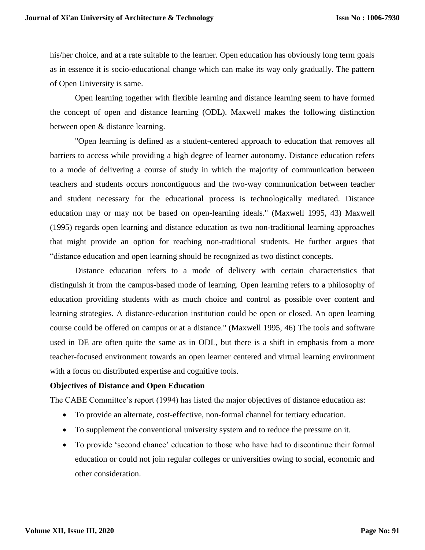his/her choice, and at a rate suitable to the learner. Open education has obviously long term goals as in essence it is socio-educational change which can make its way only gradually. The pattern of Open University is same.

Open learning together with flexible learning and distance learning seem to have formed the concept of open and distance learning (ODL). Maxwell makes the following distinction between open & distance learning.

"Open learning is defined as a student-centered approach to education that removes all barriers to access while providing a high degree of learner autonomy. Distance education refers to a mode of delivering a course of study in which the majority of communication between teachers and students occurs noncontiguous and the two-way communication between teacher and student necessary for the educational process is technologically mediated. Distance education may or may not be based on open-learning ideals." (Maxwell 1995, 43) Maxwell (1995) regards open learning and distance education as two non-traditional learning approaches that might provide an option for reaching non-traditional students. He further argues that "distance education and open learning should be recognized as two distinct concepts.

Distance education refers to a mode of delivery with certain characteristics that distinguish it from the campus-based mode of learning. Open learning refers to a philosophy of education providing students with as much choice and control as possible over content and learning strategies. A distance-education institution could be open or closed. An open learning course could be offered on campus or at a distance." (Maxwell 1995, 46) The tools and software used in DE are often quite the same as in ODL, but there is a shift in emphasis from a more teacher-focused environment towards an open learner centered and virtual learning environment with a focus on distributed expertise and cognitive tools.

## **Objectives of Distance and Open Education**

The CABE Committee's report (1994) has listed the major objectives of distance education as:

- To provide an alternate, cost-effective, non-formal channel for tertiary education.
- To supplement the conventional university system and to reduce the pressure on it.
- To provide 'second chance' education to those who have had to discontinue their formal education or could not join regular colleges or universities owing to social, economic and other consideration.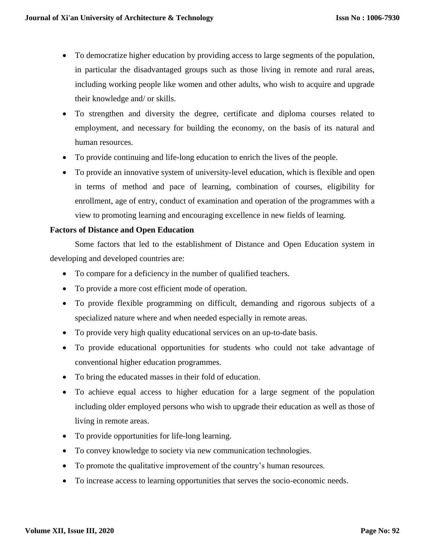- To democratize higher education by providing access to large segments of the population, in particular the disadvantaged groups such as those living in remote and rural areas, including working people like women and other adults, who wish to acquire and upgrade their knowledge and/ or skills.
- To strengthen and diversity the degree, certificate and diploma courses related to employment, and necessary for building the economy, on the basis of its natural and human resources.
- To provide continuing and life-long education to enrich the lives of the people.
- To provide an innovative system of university-level education, which is flexible and open in terms of method and pace of learning, combination of courses, eligibility for enrollment, age of entry, conduct of examination and operation of the programmes with a view to promoting learning and encouraging excellence in new fields of learning.

## **Factors of Distance and Open Education**

Some factors that led to the establishment of Distance and Open Education system in developing and developed countries are:

- To compare for a deficiency in the number of qualified teachers.
- To provide a more cost efficient mode of operation.
- To provide flexible programming on difficult, demanding and rigorous subjects of a specialized nature where and when needed especially in remote areas.
- To provide very high quality educational services on an up-to-date basis.
- To provide educational opportunities for students who could not take advantage of conventional higher education programmes.
- To bring the educated masses in their fold of education.
- To achieve equal access to higher education for a large segment of the population including older employed persons who wish to upgrade their education as well as those of living in remote areas.
- To provide opportunities for life-long learning.
- To convey knowledge to society via new communication technologies.
- To promote the qualitative improvement of the country's human resources.
- To increase access to learning opportunities that serves the socio-economic needs.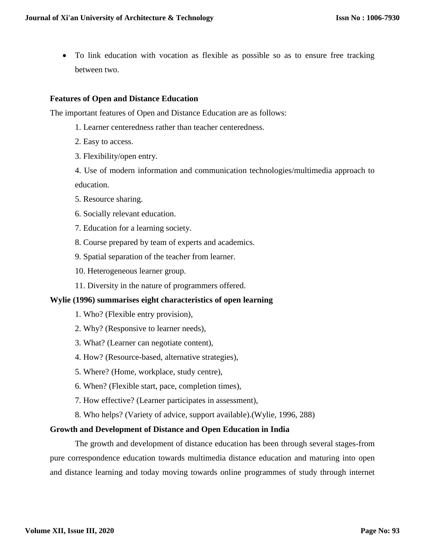To link education with vocation as flexible as possible so as to ensure free tracking between two.

## **Features of Open and Distance Education**

The important features of Open and Distance Education are as follows:

- 1. Learner centeredness rather than teacher centeredness.
- 2. Easy to access.
- 3. Flexibility/open entry.

4. Use of modern information and communication technologies/multimedia approach to education.

- 5. Resource sharing.
- 6. Socially relevant education.
- 7. Education for a learning society.
- 8. Course prepared by team of experts and academics.
- 9. Spatial separation of the teacher from learner.
- 10. Heterogeneous learner group.
- 11. Diversity in the nature of programmers offered.

#### **Wylie (1996) summarises eight characteristics of open learning**

- 1. Who? (Flexible entry provision),
- 2. Why? (Responsive to learner needs),
- 3. What? (Learner can negotiate content),
- 4. How? (Resource-based, alternative strategies),
- 5. Where? (Home, workplace, study centre),
- 6. When? (Flexible start, pace, completion times),
- 7. How effective? (Learner participates in assessment),
- 8. Who helps? (Variety of advice, support available).(Wylie, 1996, 288)

#### **Growth and Development of Distance and Open Education in India**

The growth and development of distance education has been through several stages-from pure correspondence education towards multimedia distance education and maturing into open and distance learning and today moving towards online programmes of study through internet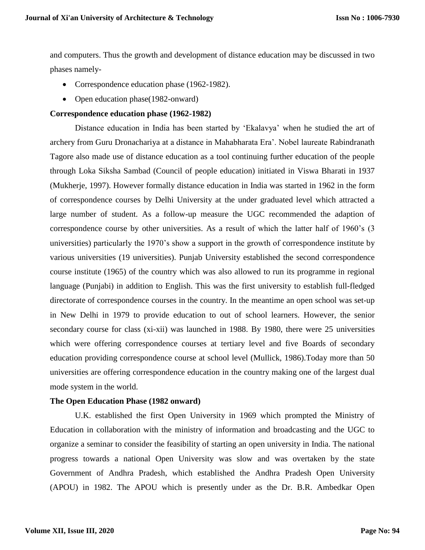and computers. Thus the growth and development of distance education may be discussed in two phases namely-

- Correspondence education phase (1962-1982).
- Open education phase(1982-onward)

#### **Correspondence education phase (1962-1982)**

Distance education in India has been started by 'Ekalavya' when he studied the art of archery from Guru Dronachariya at a distance in Mahabharata Era'. Nobel laureate Rabindranath Tagore also made use of distance education as a tool continuing further education of the people through Loka Siksha Sambad (Council of people education) initiated in Viswa Bharati in 1937 (Mukherje, 1997). However formally distance education in India was started in 1962 in the form of correspondence courses by Delhi University at the under graduated level which attracted a large number of student. As a follow-up measure the UGC recommended the adaption of correspondence course by other universities. As a result of which the latter half of 1960's (3 universities) particularly the 1970's show a support in the growth of correspondence institute by various universities (19 universities). Punjab University established the second correspondence course institute (1965) of the country which was also allowed to run its programme in regional language (Punjabi) in addition to English. This was the first university to establish full-fledged directorate of correspondence courses in the country. In the meantime an open school was set-up in New Delhi in 1979 to provide education to out of school learners. However, the senior secondary course for class (xi-xii) was launched in 1988. By 1980, there were 25 universities which were offering correspondence courses at tertiary level and five Boards of secondary education providing correspondence course at school level (Mullick, 1986).Today more than 50 universities are offering correspondence education in the country making one of the largest dual mode system in the world.

## **The Open Education Phase (1982 onward)**

U.K. established the first Open University in 1969 which prompted the Ministry of Education in collaboration with the ministry of information and broadcasting and the UGC to organize a seminar to consider the feasibility of starting an open university in India. The national progress towards a national Open University was slow and was overtaken by the state Government of Andhra Pradesh, which established the Andhra Pradesh Open University (APOU) in 1982. The APOU which is presently under as the Dr. B.R. Ambedkar Open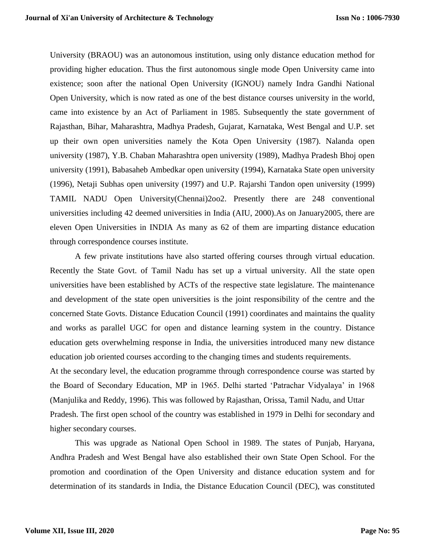University (BRAOU) was an autonomous institution, using only distance education method for providing higher education. Thus the first autonomous single mode Open University came into existence; soon after the national Open University (IGNOU) namely Indra Gandhi National Open University, which is now rated as one of the best distance courses university in the world, came into existence by an Act of Parliament in 1985. Subsequently the state government of Rajasthan, Bihar, Maharashtra, Madhya Pradesh, Gujarat, Karnataka, West Bengal and U.P. set up their own open universities namely the Kota Open University (1987). Nalanda open university (1987), Y.B. Chaban Maharashtra open university (1989), Madhya Pradesh Bhoj open university (1991), Babasaheb Ambedkar open university (1994), Karnataka State open university (1996), Netaji Subhas open university (1997) and U.P. Rajarshi Tandon open university (1999) TAMIL NADU Open University(Chennai)2oo2. Presently there are 248 conventional universities including 42 deemed universities in India (AIU, 2000).As on January2005, there are eleven Open Universities in INDIA As many as 62 of them are imparting distance education through correspondence courses institute.

A few private institutions have also started offering courses through virtual education. Recently the State Govt. of Tamil Nadu has set up a virtual university. All the state open universities have been established by ACTs of the respective state legislature. The maintenance and development of the state open universities is the joint responsibility of the centre and the concerned State Govts. Distance Education Council (1991) coordinates and maintains the quality and works as parallel UGC for open and distance learning system in the country. Distance education gets overwhelming response in India, the universities introduced many new distance education job oriented courses according to the changing times and students requirements.

At the secondary level, the education programme through correspondence course was started by the Board of Secondary Education, MP in 1965. Delhi started 'Patrachar Vidyalaya' in 1968 (Manjulika and Reddy, 1996). This was followed by Rajasthan, Orissa, Tamil Nadu, and Uttar Pradesh. The first open school of the country was established in 1979 in Delhi for secondary and higher secondary courses.

This was upgrade as National Open School in 1989. The states of Punjab, Haryana, Andhra Pradesh and West Bengal have also established their own State Open School. For the promotion and coordination of the Open University and distance education system and for determination of its standards in India, the Distance Education Council (DEC), was constituted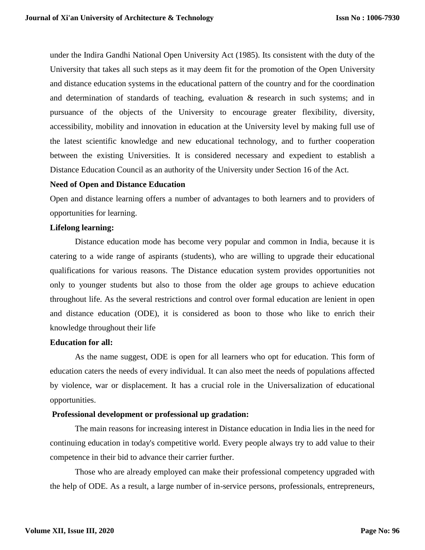under the Indira Gandhi National Open University Act (1985). Its consistent with the duty of the University that takes all such steps as it may deem fit for the promotion of the Open University and distance education systems in the educational pattern of the country and for the coordination and determination of standards of teaching, evaluation & research in such systems; and in pursuance of the objects of the University to encourage greater flexibility, diversity, accessibility, mobility and innovation in education at the University level by making full use of the latest scientific knowledge and new educational technology, and to further cooperation between the existing Universities. It is considered necessary and expedient to establish a Distance Education Council as an authority of the University under Section 16 of the Act.

#### **Need of Open and Distance Education**

Open and distance learning offers a number of advantages to both learners and to providers of opportunities for learning.

#### **Lifelong learning:**

Distance education mode has become very popular and common in India, because it is catering to a wide range of aspirants (students), who are willing to upgrade their educational qualifications for various reasons. The Distance education system provides opportunities not only to younger students but also to those from the older age groups to achieve education throughout life. As the several restrictions and control over formal education are lenient in open and distance education (ODE), it is considered as boon to those who like to enrich their knowledge throughout their life

## **Education for all:**

As the name suggest, ODE is open for all learners who opt for education. This form of education caters the needs of every individual. It can also meet the needs of populations affected by violence, war or displacement. It has a crucial role in the Universalization of educational opportunities.

## **Professional development or professional up gradation:**

The main reasons for increasing interest in Distance education in India lies in the need for continuing education in today's competitive world. Every people always try to add value to their competence in their bid to advance their carrier further.

Those who are already employed can make their professional competency upgraded with the help of ODE. As a result, a large number of in-service persons, professionals, entrepreneurs,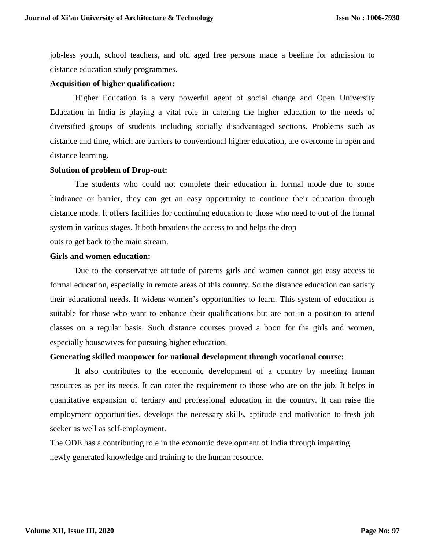job-less youth, school teachers, and old aged free persons made a beeline for admission to distance education study programmes.

## **Acquisition of higher qualification:**

Higher Education is a very powerful agent of social change and Open University Education in India is playing a vital role in catering the higher education to the needs of diversified groups of students including socially disadvantaged sections. Problems such as distance and time, which are barriers to conventional higher education, are overcome in open and distance learning.

## **Solution of problem of Drop-out:**

The students who could not complete their education in formal mode due to some hindrance or barrier, they can get an easy opportunity to continue their education through distance mode. It offers facilities for continuing education to those who need to out of the formal system in various stages. It both broadens the access to and helps the drop

outs to get back to the main stream.

## **Girls and women education:**

Due to the conservative attitude of parents girls and women cannot get easy access to formal education, especially in remote areas of this country. So the distance education can satisfy their educational needs. It widens women's opportunities to learn. This system of education is suitable for those who want to enhance their qualifications but are not in a position to attend classes on a regular basis. Such distance courses proved a boon for the girls and women, especially housewives for pursuing higher education.

#### **Generating skilled manpower for national development through vocational course:**

It also contributes to the economic development of a country by meeting human resources as per its needs. It can cater the requirement to those who are on the job. It helps in quantitative expansion of tertiary and professional education in the country. It can raise the employment opportunities, develops the necessary skills, aptitude and motivation to fresh job seeker as well as self-employment.

The ODE has a contributing role in the economic development of India through imparting newly generated knowledge and training to the human resource.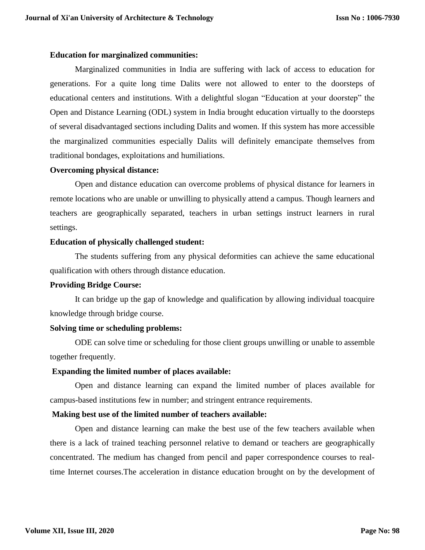## **Education for marginalized communities:**

Marginalized communities in India are suffering with lack of access to education for generations. For a quite long time Dalits were not allowed to enter to the doorsteps of educational centers and institutions. With a delightful slogan "Education at your doorstep" the Open and Distance Learning (ODL) system in India brought education virtually to the doorsteps of several disadvantaged sections including Dalits and women. If this system has more accessible the marginalized communities especially Dalits will definitely emancipate themselves from traditional bondages, exploitations and humiliations.

## **Overcoming physical distance:**

Open and distance education can overcome problems of physical distance for learners in remote locations who are unable or unwilling to physically attend a campus. Though learners and teachers are geographically separated, teachers in urban settings instruct learners in rural settings.

## **Education of physically challenged student:**

The students suffering from any physical deformities can achieve the same educational qualification with others through distance education.

#### **Providing Bridge Course:**

It can bridge up the gap of knowledge and qualification by allowing individual toacquire knowledge through bridge course.

## **Solving time or scheduling problems:**

ODE can solve time or scheduling for those client groups unwilling or unable to assemble together frequently.

## **Expanding the limited number of places available:**

Open and distance learning can expand the limited number of places available for campus-based institutions few in number; and stringent entrance requirements.

#### **Making best use of the limited number of teachers available:**

Open and distance learning can make the best use of the few teachers available when there is a lack of trained teaching personnel relative to demand or teachers are geographically concentrated. The medium has changed from pencil and paper correspondence courses to realtime Internet courses.The acceleration in distance education brought on by the development of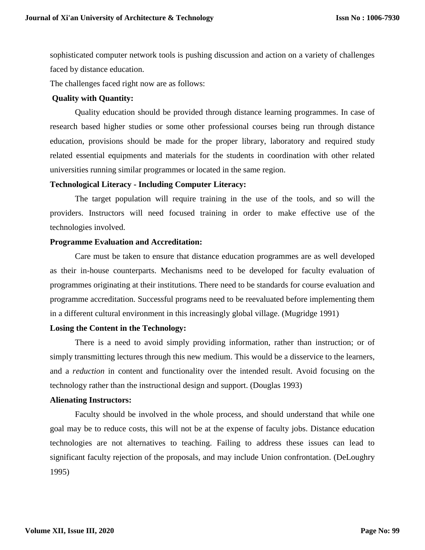sophisticated computer network tools is pushing discussion and action on a variety of challenges faced by distance education.

The challenges faced right now are as follows:

#### **Quality with Quantity:**

Quality education should be provided through distance learning programmes. In case of research based higher studies or some other professional courses being run through distance education, provisions should be made for the proper library, laboratory and required study related essential equipments and materials for the students in coordination with other related universities running similar programmes or located in the same region.

#### **Technological Literacy - Including Computer Literacy:**

The target population will require training in the use of the tools, and so will the providers. Instructors will need focused training in order to make effective use of the technologies involved.

#### **Programme Evaluation and Accreditation:**

Care must be taken to ensure that distance education programmes are as well developed as their in-house counterparts. Mechanisms need to be developed for faculty evaluation of programmes originating at their institutions. There need to be standards for course evaluation and programme accreditation. Successful programs need to be reevaluated before implementing them in a different cultural environment in this increasingly global village. (Mugridge 1991)

#### **Losing the Content in the Technology:**

There is a need to avoid simply providing information, rather than instruction; or of simply transmitting lectures through this new medium. This would be a disservice to the learners, and a *reduction* in content and functionality over the intended result. Avoid focusing on the technology rather than the instructional design and support. (Douglas 1993)

#### **Alienating Instructors:**

Faculty should be involved in the whole process, and should understand that while one goal may be to reduce costs, this will not be at the expense of faculty jobs. Distance education technologies are not alternatives to teaching. Failing to address these issues can lead to significant faculty rejection of the proposals, and may include Union confrontation. (DeLoughry 1995)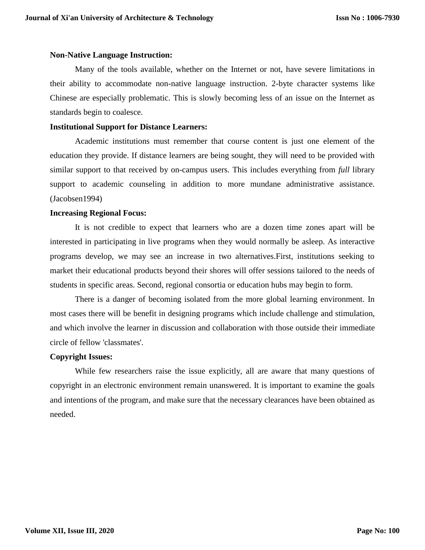#### **Non-Native Language Instruction:**

Many of the tools available, whether on the Internet or not, have severe limitations in their ability to accommodate non-native language instruction. 2-byte character systems like Chinese are especially problematic. This is slowly becoming less of an issue on the Internet as standards begin to coalesce.

## **Institutional Support for Distance Learners:**

Academic institutions must remember that course content is just one element of the education they provide. If distance learners are being sought, they will need to be provided with similar support to that received by on-campus users. This includes everything from *full* library support to academic counseling in addition to more mundane administrative assistance. (Jacobsen1994)

## **Increasing Regional Focus:**

It is not credible to expect that learners who are a dozen time zones apart will be interested in participating in live programs when they would normally be asleep. As interactive programs develop, we may see an increase in two alternatives.First, institutions seeking to market their educational products beyond their shores will offer sessions tailored to the needs of students in specific areas. Second, regional consortia or education hubs may begin to form.

There is a danger of becoming isolated from the more global learning environment. In most cases there will be benefit in designing programs which include challenge and stimulation, and which involve the learner in discussion and collaboration with those outside their immediate circle of fellow 'classmates'.

#### **Copyright Issues:**

While few researchers raise the issue explicitly, all are aware that many questions of copyright in an electronic environment remain unanswered. It is important to examine the goals and intentions of the program, and make sure that the necessary clearances have been obtained as needed.